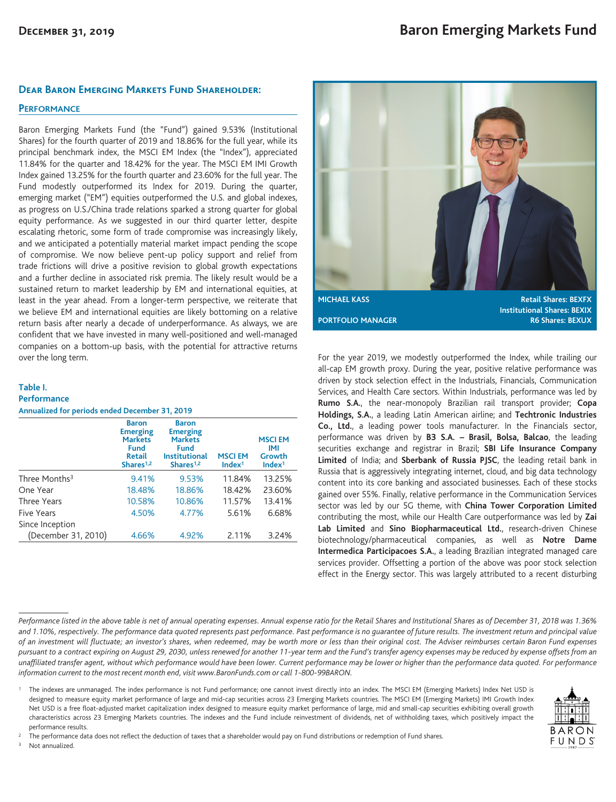### **Dear Baron Emerging Markets Fund Shareholder:**

## **PERFORMANCE**

Baron Emerging Markets Fund (the "Fund") gained 9.53% (Institutional Shares) for the fourth quarter of 2019 and 18.86% for the full year, while its principal benchmark index, the MSCI EM Index (the "Index"), appreciated 11.84% for the quarter and 18.42% for the year. The MSCI EM IMI Growth Index gained 13.25% for the fourth quarter and 23.60% for the full year. The Fund modestly outperformed its Index for 2019. During the quarter, emerging market ("EM") equities outperformed the U.S. and global indexes, as progress on U.S./China trade relations sparked a strong quarter for global equity performance. As we suggested in our third quarter letter, despite escalating rhetoric, some form of trade compromise was increasingly likely, and we anticipated a potentially material market impact pending the scope of compromise. We now believe pent-up policy support and relief from trade frictions will drive a positive revision to global growth expectations and a further decline in associated risk premia. The likely result would be a sustained return to market leadership by EM and international equities, at least in the year ahead. From a longer-term perspective, we reiterate that we believe EM and international equities are likely bottoming on a relative return basis after nearly a decade of underperformance. As always, we are confident that we have invested in many well-positioned and well-managed companies on a bottom-up basis, with the potential for attractive returns over the long term.

### **Table I.**

#### **Performance**

**Annualized for periods ended December 31, 2019**

|                           | <b>Baron</b><br><b>Emerging</b><br><b>Markets</b><br><b>Fund</b><br><b>Retail</b><br>Shares <sup>1,2</sup> | <b>Baron</b><br><b>Emerging</b><br><b>Markets</b><br><b>Fund</b><br><b>Institutional</b><br>Shares <sup>1,2</sup> | <b>MSCIEM</b><br>Index <sup>1</sup> | <b>MSCIEM</b><br>IMI<br>Growth<br>Index <sup>1</sup> |
|---------------------------|------------------------------------------------------------------------------------------------------------|-------------------------------------------------------------------------------------------------------------------|-------------------------------------|------------------------------------------------------|
| Three Months <sup>3</sup> | 9.41%                                                                                                      | 9.53%                                                                                                             | 11.84%                              | 13.25%                                               |
| One Year                  | 18.48%                                                                                                     | 18.86%                                                                                                            | 18.42%                              | 23.60%                                               |
| <b>Three Years</b>        | 10.58%                                                                                                     | 10.86%                                                                                                            | 11.57%                              | 13.41%                                               |
| Five Years                | 4.50%                                                                                                      | 4.77%                                                                                                             | 5.61%                               | 6.68%                                                |
| Since Inception           |                                                                                                            |                                                                                                                   |                                     |                                                      |
| (December 31, 2010)       | 4.66%                                                                                                      | 4.92%                                                                                                             | 2.11%                               | 3.24%                                                |



For the year 2019, we modestly outperformed the Index, while trailing our all-cap EM growth proxy. During the year, positive relative performance was driven by stock selection effect in the Industrials, Financials, Communication Services, and Health Care sectors. Within Industrials, performance was led by **Rumo S.A.**, the near-monopoly Brazilian rail transport provider; **Copa Holdings, S.A.**, a leading Latin American airline; and **Techtronic Industries Co., Ltd.**, a leading power tools manufacturer. In the Financials sector, performance was driven by **B3 S.A. – Brasil, Bolsa, Balcao**, the leading securities exchange and registrar in Brazil; **SBI Life Insurance Company Limited** of India; and **Sberbank of Russia PJSC**, the leading retail bank in Russia that is aggressively integrating internet, cloud, and big data technology content into its core banking and associated businesses. Each of these stocks gained over 55%. Finally, relative performance in the Communication Services sector was led by our 5G theme, with **China Tower Corporation Limited** contributing the most, while our Health Care outperformance was led by **Zai Lab Limited** and **Sino Biopharmaceutical Ltd.**, research-driven Chinese biotechnology/pharmaceutical companies, as well as **Notre Dame Intermedica Participacoes S.A.**, a leading Brazilian integrated managed care services provider. Offsetting a portion of the above was poor stock selection effect in the Energy sector. This was largely attributed to a recent disturbing

*Performance listed in the above table is net of annual operating expenses. Annual expense ratio for the Retail Shares and Institutional Shares as of December 31, 2018 was 1.36% and 1.10%, respectively. The performance data quoted represents past performance. Past performance is no guarantee of future results. The investment return and principal value of an investment will fluctuate; an investor's shares, when redeemed, may be worth more or less than their original cost. The Adviser reimburses certain Baron Fund expenses pursuant to a contract expiring on August 29, 2030, unless renewed for another 11-year term and the Fund's transfer agency expenses may be reduced by expense offsets from an unaffiliated transfer agent, without which performance would have been lower. Current performance may be lower or higher than the performance data quoted. For performance information current to the most recent month end, visit www.BaronFunds.com or call 1-800-99BARON.*

<sup>1</sup> The indexes are unmanaged. The index performance is not Fund performance; one cannot invest directly into an index. The MSCI EM (Emerging Markets) Index Net USD is designed to measure equity market performance of large and mid-cap securities across 23 Emerging Markets countries. The MSCI EM (Emerging Markets) IMI Growth Index Net USD is a free float-adjusted market capitalization index designed to measure equity market performance of large, mid and small-cap securities exhibiting overall growth characteristics across 23 Emerging Markets countries. The indexes and the Fund include reinvestment of dividends, net of withholding taxes, which positively impact the performance results.



Not annualized.

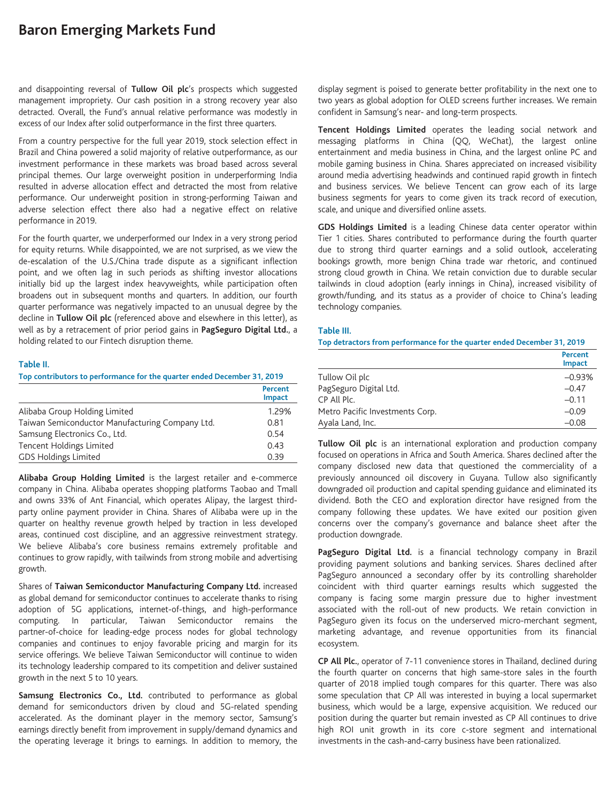# **Baron Emerging Markets Fund**

and disappointing reversal of **Tullow Oil plc**'s prospects which suggested management impropriety. Our cash position in a strong recovery year also detracted. Overall, the Fund's annual relative performance was modestly in excess of our Index after solid outperformance in the first three quarters.

From a country perspective for the full year 2019, stock selection effect in Brazil and China powered a solid majority of relative outperformance, as our investment performance in these markets was broad based across several principal themes. Our large overweight position in underperforming India resulted in adverse allocation effect and detracted the most from relative performance. Our underweight position in strong-performing Taiwan and adverse selection effect there also had a negative effect on relative performance in 2019.

For the fourth quarter, we underperformed our Index in a very strong period for equity returns. While disappointed, we are not surprised, as we view the de-escalation of the U.S./China trade dispute as a significant inflection point, and we often lag in such periods as shifting investor allocations initially bid up the largest index heavyweights, while participation often broadens out in subsequent months and quarters. In addition, our fourth quarter performance was negatively impacted to an unusual degree by the decline in **Tullow Oil plc** (referenced above and elsewhere in this letter), as well as by a retracement of prior period gains in **PagSeguro Digital Ltd.**, a holding related to our Fintech disruption theme.

### **Table II.**

**Top contributors to performance for the quarter ended December 31, 2019**

|                                                 | Percent<br><b>Impact</b> |
|-------------------------------------------------|--------------------------|
| Alibaba Group Holding Limited                   | 1.29%                    |
| Taiwan Semiconductor Manufacturing Company Ltd. | 0.81                     |
| Samsung Electronics Co., Ltd.                   | 0.54                     |
| <b>Tencent Holdings Limited</b>                 | 0.43                     |
| <b>GDS Holdings Limited</b>                     | 0.39                     |

**Alibaba Group Holding Limited** is the largest retailer and e-commerce company in China. Alibaba operates shopping platforms Taobao and Tmall and owns 33% of Ant Financial, which operates Alipay, the largest thirdparty online payment provider in China. Shares of Alibaba were up in the quarter on healthy revenue growth helped by traction in less developed areas, continued cost discipline, and an aggressive reinvestment strategy. We believe Alibaba's core business remains extremely profitable and continues to grow rapidly, with tailwinds from strong mobile and advertising growth.

Shares of **Taiwan Semiconductor Manufacturing Company Ltd.** increased as global demand for semiconductor continues to accelerate thanks to rising adoption of 5G applications, internet-of-things, and high-performance computing. In particular, Taiwan Semiconductor remains the partner-of-choice for leading-edge process nodes for global technology companies and continues to enjoy favorable pricing and margin for its service offerings. We believe Taiwan Semiconductor will continue to widen its technology leadership compared to its competition and deliver sustained growth in the next 5 to 10 years.

**Samsung Electronics Co., Ltd.** contributed to performance as global demand for semiconductors driven by cloud and 5G-related spending accelerated. As the dominant player in the memory sector, Samsung's earnings directly benefit from improvement in supply/demand dynamics and the operating leverage it brings to earnings. In addition to memory, the display segment is poised to generate better profitability in the next one to two years as global adoption for OLED screens further increases. We remain confident in Samsung's near- and long-term prospects.

**Tencent Holdings Limited** operates the leading social network and messaging platforms in China (QQ, WeChat), the largest online entertainment and media business in China, and the largest online PC and mobile gaming business in China. Shares appreciated on increased visibility around media advertising headwinds and continued rapid growth in fintech and business services. We believe Tencent can grow each of its large business segments for years to come given its track record of execution, scale, and unique and diversified online assets.

**GDS Holdings Limited** is a leading Chinese data center operator within Tier 1 cities. Shares contributed to performance during the fourth quarter due to strong third quarter earnings and a solid outlook, accelerating bookings growth, more benign China trade war rhetoric, and continued strong cloud growth in China. We retain conviction due to durable secular tailwinds in cloud adoption (early innings in China), increased visibility of growth/funding, and its status as a provider of choice to China's leading technology companies.

### **Table III.**

**Top detractors from performance for the quarter ended December 31, 2019**

|                                 | Percent<br><b>Impact</b> |
|---------------------------------|--------------------------|
| Tullow Oil plc                  | $-0.93%$                 |
| PagSeguro Digital Ltd.          | $-0.47$                  |
| CP All Plc.                     | $-0.11$                  |
| Metro Pacific Investments Corp. | $-0.09$                  |
| Ayala Land, Inc.                | $-0.08$                  |

**Tullow Oil plc** is an international exploration and production company focused on operations in Africa and South America. Shares declined after the company disclosed new data that questioned the commerciality of a previously announced oil discovery in Guyana. Tullow also significantly downgraded oil production and capital spending guidance and eliminated its dividend. Both the CEO and exploration director have resigned from the company following these updates. We have exited our position given concerns over the company's governance and balance sheet after the production downgrade.

**PagSeguro Digital Ltd.** is a financial technology company in Brazil providing payment solutions and banking services. Shares declined after PagSeguro announced a secondary offer by its controlling shareholder coincident with third quarter earnings results which suggested the company is facing some margin pressure due to higher investment associated with the roll-out of new products. We retain conviction in PagSeguro given its focus on the underserved micro-merchant segment, marketing advantage, and revenue opportunities from its financial ecosystem.

**CP All Plc.**, operator of 7-11 convenience stores in Thailand, declined during the fourth quarter on concerns that high same-store sales in the fourth quarter of 2018 implied tough compares for this quarter. There was also some speculation that CP All was interested in buying a local supermarket business, which would be a large, expensive acquisition. We reduced our position during the quarter but remain invested as CP All continues to drive high ROI unit growth in its core c-store segment and international investments in the cash-and-carry business have been rationalized.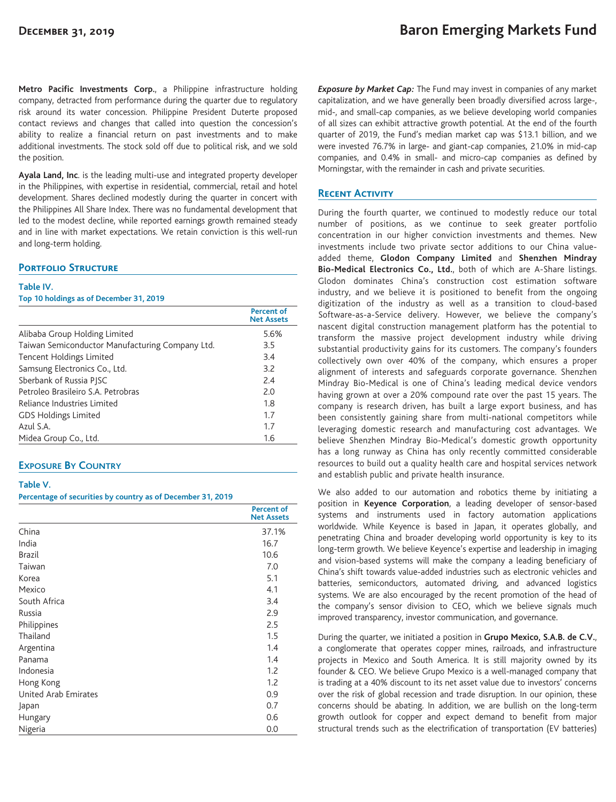**Metro Pacific Investments Corp.**, a Philippine infrastructure holding company, detracted from performance during the quarter due to regulatory risk around its water concession. Philippine President Duterte proposed contact reviews and changes that called into question the concession's ability to realize a financial return on past investments and to make additional investments. The stock sold off due to political risk, and we sold the position.

**Ayala Land, Inc**. is the leading multi-use and integrated property developer in the Philippines, with expertise in residential, commercial, retail and hotel development. Shares declined modestly during the quarter in concert with the Philippines All Share Index. There was no fundamental development that led to the modest decline, while reported earnings growth remained steady and in line with market expectations. We retain conviction is this well-run and long-term holding.

## **Portfolio Structure**

#### **Table IV.**

**Top 10 holdings as of December 31, 2019**

|                                                 | Percent of<br><b>Net Assets</b> |
|-------------------------------------------------|---------------------------------|
| Alibaba Group Holding Limited                   | 5.6%                            |
| Taiwan Semiconductor Manufacturing Company Ltd. | 3.5                             |
| Tencent Holdings Limited                        | 3.4                             |
| Samsung Electronics Co., Ltd.                   | 3.2                             |
| Sberbank of Russia PISC                         | 7.4                             |
| Petroleo Brasileiro S.A. Petrobras              | 2.0                             |
| Reliance Industries Limited                     | 1.8                             |
| <b>GDS Holdings Limited</b>                     | 1.7                             |
| Azul S.A.                                       | 1.7                             |
| Midea Group Co., Ltd.                           | 1.6                             |

## **EXPOSURE BY COUNTRY**

#### **Table V.**

#### **Percentage of securities by country as of December 31, 2019**

|                      | <b>Percent of</b><br><b>Net Assets</b> |
|----------------------|----------------------------------------|
| China                | 37.1%                                  |
| India                | 16.7                                   |
| <b>Brazil</b>        | 10.6                                   |
| Taiwan               | 7.0                                    |
| Korea                | 5.1                                    |
| Mexico               | 4.1                                    |
| South Africa         | 3.4                                    |
| Russia               | 2.9                                    |
| Philippines          | 2.5                                    |
| Thailand             | 1.5                                    |
| Argentina            | 1.4                                    |
| Panama               | 1.4                                    |
| Indonesia            | 1.2                                    |
| Hong Kong            | 1.2                                    |
| United Arab Emirates | 0.9                                    |
| Japan                | 0.7                                    |
| Hungary              | 0.6                                    |
| Nigeria              | 0.0                                    |

*Exposure by Market Cap:* The Fund may invest in companies of any market capitalization, and we have generally been broadly diversified across large-, mid-, and small-cap companies, as we believe developing world companies of all sizes can exhibit attractive growth potential. At the end of the fourth quarter of 2019, the Fund's median market cap was \$13.1 billion, and we were invested 76.7% in large- and giant-cap companies, 21.0% in mid-cap companies, and 0.4% in small- and micro-cap companies as defined by Morningstar, with the remainder in cash and private securities.

### **Recent Activity**

During the fourth quarter, we continued to modestly reduce our total number of positions, as we continue to seek greater portfolio concentration in our higher conviction investments and themes. New investments include two private sector additions to our China valueadded theme, **Glodon Company Limited** and **Shenzhen Mindray Bio-Medical Electronics Co., Ltd.**, both of which are A-Share listings. Glodon dominates China's construction cost estimation software industry, and we believe it is positioned to benefit from the ongoing digitization of the industry as well as a transition to cloud-based Software-as-a-Service delivery. However, we believe the company's nascent digital construction management platform has the potential to transform the massive project development industry while driving substantial productivity gains for its customers. The company's founders collectively own over 40% of the company, which ensures a proper alignment of interests and safeguards corporate governance. Shenzhen Mindray Bio-Medical is one of China's leading medical device vendors having grown at over a 20% compound rate over the past 15 years. The company is research driven, has built a large export business, and has been consistently gaining share from multi-national competitors while leveraging domestic research and manufacturing cost advantages. We believe Shenzhen Mindray Bio-Medical's domestic growth opportunity has a long runway as China has only recently committed considerable resources to build out a quality health care and hospital services network and establish public and private health insurance.

We also added to our automation and robotics theme by initiating a position in **Keyence Corporation**, a leading developer of sensor-based systems and instruments used in factory automation applications worldwide. While Keyence is based in Japan, it operates globally, and penetrating China and broader developing world opportunity is key to its long-term growth. We believe Keyence's expertise and leadership in imaging and vision-based systems will make the company a leading beneficiary of China's shift towards value-added industries such as electronic vehicles and batteries, semiconductors, automated driving, and advanced logistics systems. We are also encouraged by the recent promotion of the head of the company's sensor division to CEO, which we believe signals much improved transparency, investor communication, and governance.

During the quarter, we initiated a position in **Grupo Mexico, S.A.B. de C.V.**, a conglomerate that operates copper mines, railroads, and infrastructure projects in Mexico and South America. It is still majority owned by its founder & CEO. We believe Grupo Mexico is a well-managed company that is trading at a 40% discount to its net asset value due to investors' concerns over the risk of global recession and trade disruption. In our opinion, these concerns should be abating. In addition, we are bullish on the long-term growth outlook for copper and expect demand to benefit from major structural trends such as the electrification of transportation (EV batteries)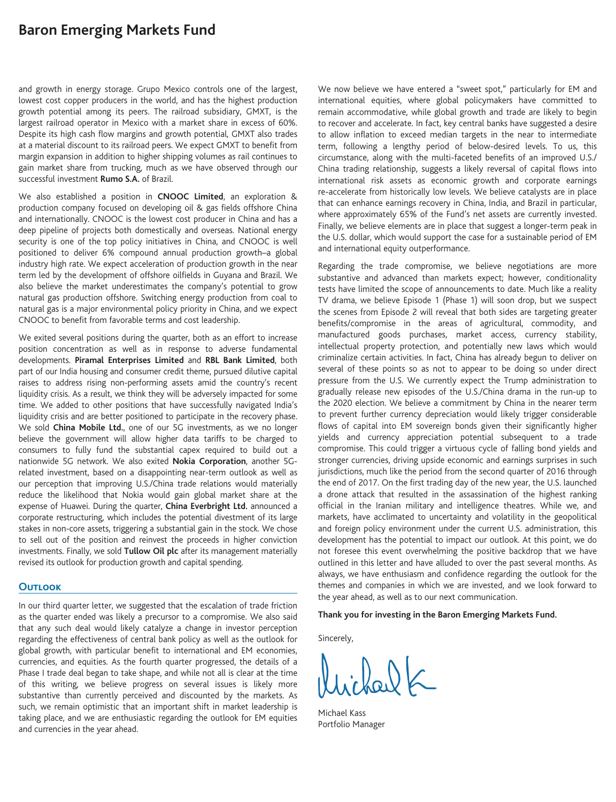# **Baron Emerging Markets Fund**

and growth in energy storage. Grupo Mexico controls one of the largest, lowest cost copper producers in the world, and has the highest production growth potential among its peers. The railroad subsidiary, GMXT, is the largest railroad operator in Mexico with a market share in excess of 60%. Despite its high cash flow margins and growth potential, GMXT also trades at a material discount to its railroad peers. We expect GMXT to benefit from margin expansion in addition to higher shipping volumes as rail continues to gain market share from trucking, much as we have observed through our successful investment **Rumo S.A.** of Brazil.

We also established a position in **CNOOC Limited**, an exploration & production company focused on developing oil & gas fields offshore China and internationally. CNOOC is the lowest cost producer in China and has a deep pipeline of projects both domestically and overseas. National energy security is one of the top policy initiatives in China, and CNOOC is well positioned to deliver 6% compound annual production growth–a global industry high rate. We expect acceleration of production growth in the near term led by the development of offshore oilfields in Guyana and Brazil. We also believe the market underestimates the company's potential to grow natural gas production offshore. Switching energy production from coal to natural gas is a major environmental policy priority in China, and we expect CNOOC to benefit from favorable terms and cost leadership.

We exited several positions during the quarter, both as an effort to increase position concentration as well as in response to adverse fundamental developments. **Piramal Enterprises Limited** and **RBL Bank Limited**, both part of our India housing and consumer credit theme, pursued dilutive capital raises to address rising non-performing assets amid the country's recent liquidity crisis. As a result, we think they will be adversely impacted for some time. We added to other positions that have successfully navigated India's liquidity crisis and are better positioned to participate in the recovery phase. We sold **China Mobile Ltd.**, one of our 5G investments, as we no longer believe the government will allow higher data tariffs to be charged to consumers to fully fund the substantial capex required to build out a nationwide 5G network. We also exited **Nokia Corporation**, another 5Grelated investment, based on a disappointing near-term outlook as well as our perception that improving U.S./China trade relations would materially reduce the likelihood that Nokia would gain global market share at the expense of Huawei. During the quarter, **China Everbright Ltd.** announced a corporate restructuring, which includes the potential divestment of its large stakes in non-core assets, triggering a substantial gain in the stock. We chose to sell out of the position and reinvest the proceeds in higher conviction investments. Finally, we sold **Tullow Oil plc** after its management materially revised its outlook for production growth and capital spending.

## **Outlook**

In our third quarter letter, we suggested that the escalation of trade friction as the quarter ended was likely a precursor to a compromise. We also said that any such deal would likely catalyze a change in investor perception regarding the effectiveness of central bank policy as well as the outlook for global growth, with particular benefit to international and EM economies, currencies, and equities. As the fourth quarter progressed, the details of a Phase I trade deal began to take shape, and while not all is clear at the time of this writing, we believe progress on several issues is likely more substantive than currently perceived and discounted by the markets. As such, we remain optimistic that an important shift in market leadership is taking place, and we are enthusiastic regarding the outlook for EM equities and currencies in the year ahead.

We now believe we have entered a "sweet spot," particularly for EM and international equities, where global policymakers have committed to remain accommodative, while global growth and trade are likely to begin to recover and accelerate. In fact, key central banks have suggested a desire to allow inflation to exceed median targets in the near to intermediate term, following a lengthy period of below-desired levels. To us, this circumstance, along with the multi-faceted benefits of an improved U.S./ China trading relationship, suggests a likely reversal of capital flows into international risk assets as economic growth and corporate earnings re-accelerate from historically low levels. We believe catalysts are in place that can enhance earnings recovery in China, India, and Brazil in particular, where approximately 65% of the Fund's net assets are currently invested. Finally, we believe elements are in place that suggest a longer-term peak in the U.S. dollar, which would support the case for a sustainable period of EM and international equity outperformance.

Regarding the trade compromise, we believe negotiations are more substantive and advanced than markets expect; however, conditionality tests have limited the scope of announcements to date. Much like a reality TV drama, we believe Episode 1 (Phase 1) will soon drop, but we suspect the scenes from Episode 2 will reveal that both sides are targeting greater benefits/compromise in the areas of agricultural, commodity, and manufactured goods purchases, market access, currency stability, intellectual property protection, and potentially new laws which would criminalize certain activities. In fact, China has already begun to deliver on several of these points so as not to appear to be doing so under direct pressure from the U.S. We currently expect the Trump administration to gradually release new episodes of the U.S./China drama in the run-up to the 2020 election. We believe a commitment by China in the nearer term to prevent further currency depreciation would likely trigger considerable flows of capital into EM sovereign bonds given their significantly higher yields and currency appreciation potential subsequent to a trade compromise. This could trigger a virtuous cycle of falling bond yields and stronger currencies, driving upside economic and earnings surprises in such jurisdictions, much like the period from the second quarter of 2016 through the end of 2017. On the first trading day of the new year, the U.S. launched a drone attack that resulted in the assassination of the highest ranking official in the Iranian military and intelligence theatres. While we, and markets, have acclimated to uncertainty and volatility in the geopolitical and foreign policy environment under the current U.S. administration, this development has the potential to impact our outlook. At this point, we do not foresee this event overwhelming the positive backdrop that we have outlined in this letter and have alluded to over the past several months. As always, we have enthusiasm and confidence regarding the outlook for the themes and companies in which we are invested, and we look forward to the year ahead, as well as to our next communication.

#### **Thank you for investing in the Baron Emerging Markets Fund.**

Sincerely,

 $20.0$ 

Michael Kass Portfolio Manager